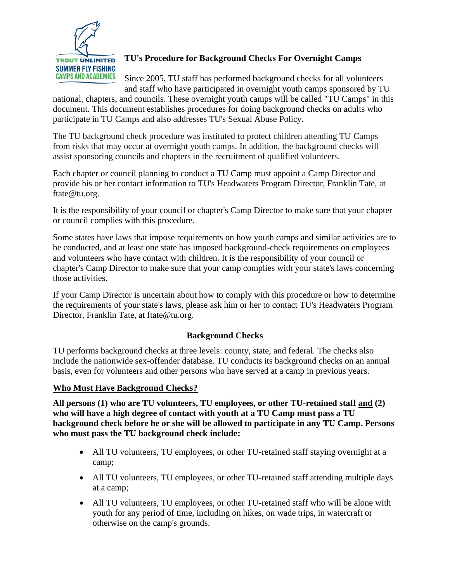

# **TU's Procedure for Background Checks For Overnight Camps**

Since 2005, TU staff has performed background checks for all volunteers and staff who have participated in overnight youth camps sponsored by TU

national, chapters, and councils. These overnight youth camps will be called "TU Camps" in this document. This document establishes procedures for doing background checks on adults who participate in TU Camps and also addresses TU's Sexual Abuse Policy.

The TU background check procedure was instituted to protect children attending TU Camps from risks that may occur at overnight youth camps. In addition, the background checks will assist sponsoring councils and chapters in the recruitment of qualified volunteers.

Each chapter or council planning to conduct a TU Camp must appoint a Camp Director and provide his or her contact information to TU's Headwaters Program Director, Franklin Tate, at ftate@tu.org.

It is the responsibility of your council or chapter's Camp Director to make sure that your chapter or council complies with this procedure.

Some states have laws that impose requirements on how youth camps and similar activities are to be conducted, and at least one state has imposed background-check requirements on employees and volunteers who have contact with children. It is the responsibility of your council or chapter's Camp Director to make sure that your camp complies with your state's laws concerning those activities.

If your Camp Director is uncertain about how to comply with this procedure or how to determine the requirements of your state's laws, please ask him or her to contact TU's Headwaters Program Director, Franklin Tate, at ftate@tu.org.

## **Background Checks**

TU performs background checks at three levels: county, state, and federal. The checks also include the nationwide sex-offender database. TU conducts its background checks on an annual basis, even for volunteers and other persons who have served at a camp in previous years.

## **Who Must Have Background Checks?**

**All persons (1) who are TU volunteers, TU employees, or other TU-retained staff and (2) who will have a high degree of contact with youth at a TU Camp must pass a TU background check before he or she will be allowed to participate in any TU Camp. Persons who must pass the TU background check include:**

- All TU volunteers, TU employees, or other TU-retained staff staying overnight at a camp;
- All TU volunteers, TU employees, or other TU-retained staff attending multiple days at a camp;
- All TU volunteers, TU employees, or other TU-retained staff who will be alone with youth for any period of time, including on hikes, on wade trips, in watercraft or otherwise on the camp's grounds.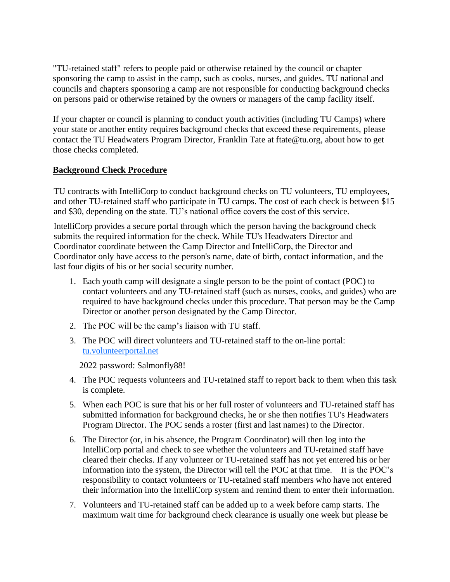"TU-retained staff" refers to people paid or otherwise retained by the council or chapter sponsoring the camp to assist in the camp, such as cooks, nurses, and guides. TU national and councils and chapters sponsoring a camp are not responsible for conducting background checks on persons paid or otherwise retained by the owners or managers of the camp facility itself.

If your chapter or council is planning to conduct youth activities (including TU Camps) where your state or another entity requires background checks that exceed these requirements, please contact the TU Headwaters Program Director, Franklin Tate at ftate@tu.org, about how to get those checks completed.

## **Background Check Procedure**

TU contracts with IntelliCorp to conduct background checks on TU volunteers, TU employees, and other TU-retained staff who participate in TU camps. The cost of each check is between \$15 and \$30, depending on the state. TU's national office covers the cost of this service.

IntelliCorp provides a secure portal through which the person having the background check submits the required information for the check. While TU's Headwaters Director and Coordinator coordinate between the Camp Director and IntelliCorp, the Director and Coordinator only have access to the person's name, date of birth, contact information, and the last four digits of his or her social security number.

- 1. Each youth camp will designate a single person to be the point of contact (POC) to contact volunteers and any TU-retained staff (such as nurses, cooks, and guides) who are required to have background checks under this procedure. That person may be the Camp Director or another person designated by the Camp Director.
- 2. The POC will be the camp's liaison with TU staff.
- 3. The POC will direct volunteers and TU-retained staff to the on-line portal: tu.volunteerportal.net

2022 password: Salmonfly88!

- 4. The POC requests volunteers and TU-retained staff to report back to them when this task is complete.
- 5. When each POC is sure that his or her full roster of volunteers and TU-retained staff has submitted information for background checks, he or she then notifies TU's Headwaters Program Director. The POC sends a roster (first and last names) to the Director.
- 6. The Director (or, in his absence, the Program Coordinator) will then log into the IntelliCorp portal and check to see whether the volunteers and TU-retained staff have cleared their checks. If any volunteer or TU-retained staff has not yet entered his or her information into the system, the Director will tell the POC at that time. It is the POC's responsibility to contact volunteers or TU-retained staff members who have not entered their information into the IntelliCorp system and remind them to enter their information.
- 7. Volunteers and TU-retained staff can be added up to a week before camp starts. The maximum wait time for background check clearance is usually one week but please be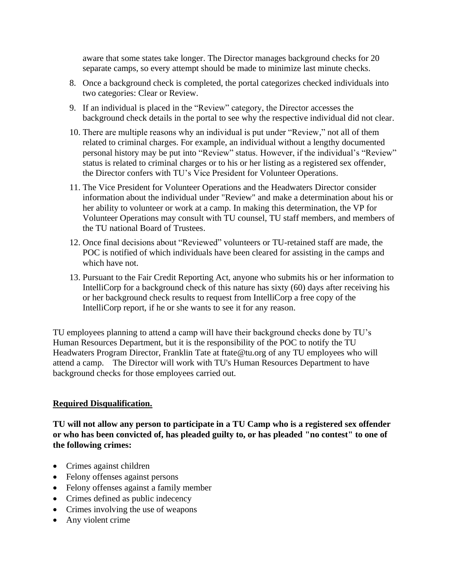aware that some states take longer. The Director manages background checks for 20 separate camps, so every attempt should be made to minimize last minute checks.

- 8. Once a background check is completed, the portal categorizes checked individuals into two categories: Clear or Review.
- 9. If an individual is placed in the "Review" category, the Director accesses the background check details in the portal to see why the respective individual did not clear.
- 10. There are multiple reasons why an individual is put under "Review," not all of them related to criminal charges. For example, an individual without a lengthy documented personal history may be put into "Review" status. However, if the individual's "Review" status is related to criminal charges or to his or her listing as a registered sex offender, the Director confers with TU's Vice President for Volunteer Operations.
- 11. The Vice President for Volunteer Operations and the Headwaters Director consider information about the individual under "Review" and make a determination about his or her ability to volunteer or work at a camp. In making this determination, the VP for Volunteer Operations may consult with TU counsel, TU staff members, and members of the TU national Board of Trustees.
- 12. Once final decisions about "Reviewed" volunteers or TU-retained staff are made, the POC is notified of which individuals have been cleared for assisting in the camps and which have not.
- 13. Pursuant to the Fair Credit Reporting Act, anyone who submits his or her information to IntelliCorp for a background check of this nature has sixty (60) days after receiving his or her background check results to request from IntelliCorp a free copy of the IntelliCorp report, if he or she wants to see it for any reason.

TU employees planning to attend a camp will have their background checks done by TU's Human Resources Department, but it is the responsibility of the POC to notify the TU Headwaters Program Director, Franklin Tate at ftate@tu.org of any TU employees who will attend a camp. The Director will work with TU's Human Resources Department to have background checks for those employees carried out.

## **Required Disqualification.**

**TU will not allow any person to participate in a TU Camp who is a registered sex offender or who has been convicted of, has pleaded guilty to, or has pleaded "no contest" to one of the following crimes:** 

- Crimes against children
- Felony offenses against persons
- Felony offenses against a family member
- Crimes defined as public indecency
- Crimes involving the use of weapons
- Any violent crime